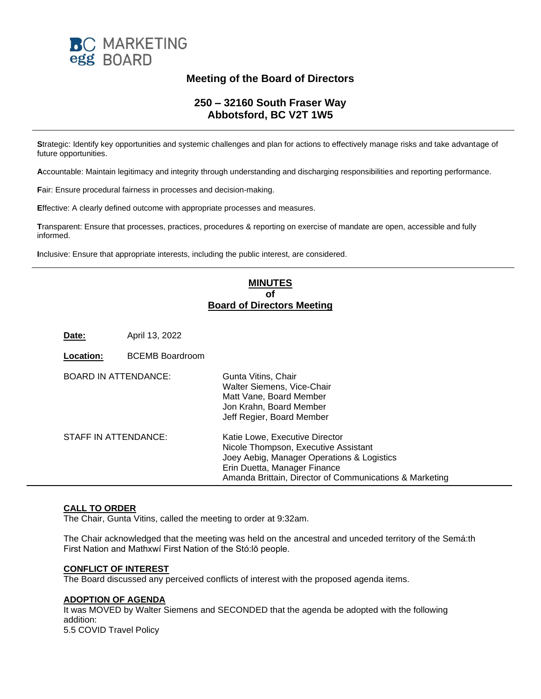

# **Meeting of the Board of Directors**

# **250 – 32160 South Fraser Way Abbotsford, BC V2T 1W5**

**S**trategic: Identify key opportunities and systemic challenges and plan for actions to effectively manage risks and take advantage of future opportunities.

**A**ccountable: Maintain legitimacy and integrity through understanding and discharging responsibilities and reporting performance.

**F**air: Ensure procedural fairness in processes and decision-making.

**E**ffective: A clearly defined outcome with appropriate processes and measures.

**T**ransparent: Ensure that processes, practices, procedures & reporting on exercise of mandate are open, accessible and fully informed.

**I**nclusive: Ensure that appropriate interests, including the public interest, are considered.

# **MINUTES of Board of Directors Meeting**

**Date:** April 13, 2022

| Location:                   | <b>BCEMB Boardroom</b> |                                                                                                                                                                                                                 |
|-----------------------------|------------------------|-----------------------------------------------------------------------------------------------------------------------------------------------------------------------------------------------------------------|
| <b>BOARD IN ATTENDANCE:</b> |                        | Gunta Vitins, Chair<br>Walter Siemens, Vice-Chair<br>Matt Vane, Board Member<br>Jon Krahn, Board Member<br>Jeff Regier, Board Member                                                                            |
| STAFF IN ATTENDANCE:        |                        | Katie Lowe, Executive Director<br>Nicole Thompson, Executive Assistant<br>Joey Aebig, Manager Operations & Logistics<br>Erin Duetta, Manager Finance<br>Amanda Brittain, Director of Communications & Marketing |

# **CALL TO ORDER**

The Chair, Gunta Vitins, called the meeting to order at 9:32am.

The Chair acknowledged that the meeting was held on the ancestral and unceded territory of the Semá:th First Nation and Mathxwí First Nation of the Stó:lō people.

#### **CONFLICT OF INTEREST**

The Board discussed any perceived conflicts of interest with the proposed agenda items.

### **ADOPTION OF AGENDA**

It was MOVED by Walter Siemens and SECONDED that the agenda be adopted with the following addition: 5.5 COVID Travel Policy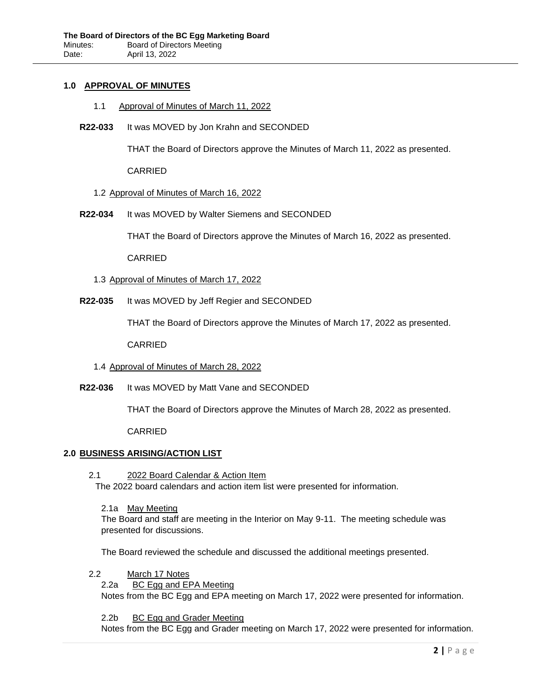### **1.0 APPROVAL OF MINUTES**

- 1.1 Approval of Minutes of March 11, 2022
- **R22-033** It was MOVED by Jon Krahn and SECONDED

THAT the Board of Directors approve the Minutes of March 11, 2022 as presented.

CARRIED

#### 1.2 Approval of Minutes of March 16, 2022

**R22-034** It was MOVED by Walter Siemens and SECONDED

THAT the Board of Directors approve the Minutes of March 16, 2022 as presented.

CARRIED

- 1.3 Approval of Minutes of March 17, 2022
- **R22-035** It was MOVED by Jeff Regier and SECONDED

THAT the Board of Directors approve the Minutes of March 17, 2022 as presented.

CARRIED

#### 1.4 Approval of Minutes of March 28, 2022

**R22-036** It was MOVED by Matt Vane and SECONDED

THAT the Board of Directors approve the Minutes of March 28, 2022 as presented.

CARRIED

#### **2.0 BUSINESS ARISING/ACTION LIST**

2.1 2022 Board Calendar & Action Item

The 2022 board calendars and action item list were presented for information.

2.1a May Meeting

The Board and staff are meeting in the Interior on May 9-11. The meeting schedule was presented for discussions.

The Board reviewed the schedule and discussed the additional meetings presented.

- 2.2 March 17 Notes
	- 2.2a BC Egg and EPA Meeting

Notes from the BC Egg and EPA meeting on March 17, 2022 were presented for information.

2.2b BC Egg and Grader Meeting

Notes from the BC Egg and Grader meeting on March 17, 2022 were presented for information.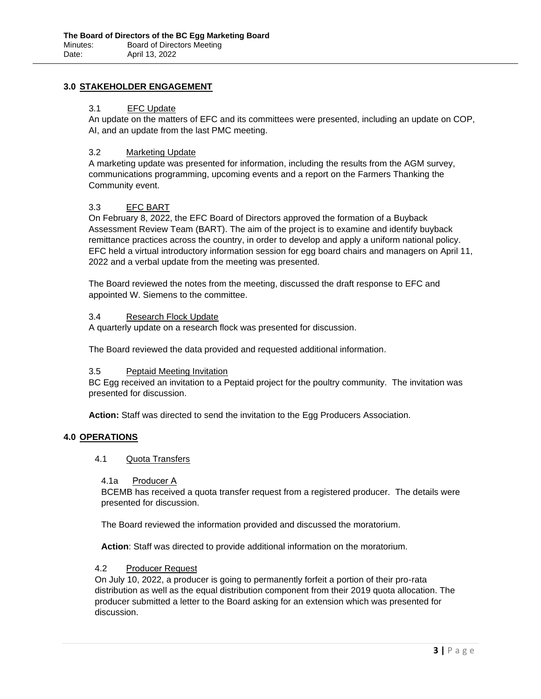# **3.0 STAKEHOLDER ENGAGEMENT**

### 3.1 EFC Update

An update on the matters of EFC and its committees were presented, including an update on COP, AI, and an update from the last PMC meeting.

### 3.2 Marketing Update

A marketing update was presented for information, including the results from the AGM survey, communications programming, upcoming events and a report on the Farmers Thanking the Community event.

### 3.3 EFC BART

On February 8, 2022, the EFC Board of Directors approved the formation of a Buyback Assessment Review Team (BART). The aim of the project is to examine and identify buyback remittance practices across the country, in order to develop and apply a uniform national policy. EFC held a virtual introductory information session for egg board chairs and managers on April 11, 2022 and a verbal update from the meeting was presented.

The Board reviewed the notes from the meeting, discussed the draft response to EFC and appointed W. Siemens to the committee.

### 3.4 Research Flock Update

A quarterly update on a research flock was presented for discussion.

The Board reviewed the data provided and requested additional information.

### 3.5 Peptaid Meeting Invitation

BC Egg received an invitation to a Peptaid project for the poultry community. The invitation was presented for discussion.

**Action:** Staff was directed to send the invitation to the Egg Producers Association.

### **4.0 OPERATIONS**

### 4.1 Quota Transfers

## 4.1a Producer A

BCEMB has received a quota transfer request from a registered producer. The details were presented for discussion.

The Board reviewed the information provided and discussed the moratorium.

**Action**: Staff was directed to provide additional information on the moratorium.

### 4.2 Producer Request

On July 10, 2022, a producer is going to permanently forfeit a portion of their pro-rata distribution as well as the equal distribution component from their 2019 quota allocation. The producer submitted a letter to the Board asking for an extension which was presented for discussion.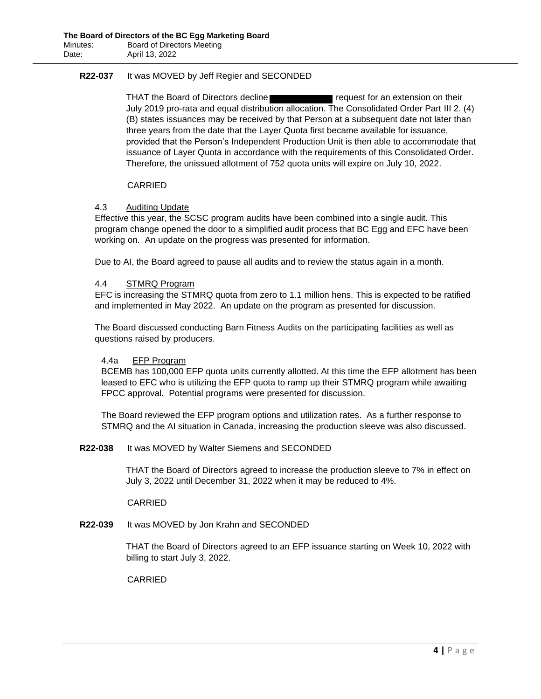# **R22-037** It was MOVED by Jeff Regier and SECONDED

THAT the Board of Directors decline **replace to the request for an extension on their** July 2019 pro-rata and equal distribution allocation. The Consolidated Order Part III 2. (4) (B) states issuances may be received by that Person at a subsequent date not later than three years from the date that the Layer Quota first became available for issuance, provided that the Person's Independent Production Unit is then able to accommodate that issuance of Layer Quota in accordance with the requirements of this Consolidated Order. Therefore, the unissued allotment of 752 quota units will expire on July 10, 2022.

### CARRIED

### 4.3 Auditing Update

Effective this year, the SCSC program audits have been combined into a single audit. This program change opened the door to a simplified audit process that BC Egg and EFC have been working on. An update on the progress was presented for information.

Due to AI, the Board agreed to pause all audits and to review the status again in a month.

### 4.4 STMRQ Program

EFC is increasing the STMRQ quota from zero to 1.1 million hens. This is expected to be ratified and implemented in May 2022. An update on the program as presented for discussion.

The Board discussed conducting Barn Fitness Audits on the participating facilities as well as questions raised by producers.

### 4.4a EFP Program

BCEMB has 100,000 EFP quota units currently allotted. At this time the EFP allotment has been leased to EFC who is utilizing the EFP quota to ramp up their STMRQ program while awaiting FPCC approval. Potential programs were presented for discussion.

The Board reviewed the EFP program options and utilization rates. As a further response to STMRQ and the AI situation in Canada, increasing the production sleeve was also discussed.

### **R22-038** It was MOVED by Walter Siemens and SECONDED

THAT the Board of Directors agreed to increase the production sleeve to 7% in effect on July 3, 2022 until December 31, 2022 when it may be reduced to 4%.

CARRIED

### **R22-039** It was MOVED by Jon Krahn and SECONDED

THAT the Board of Directors agreed to an EFP issuance starting on Week 10, 2022 with billing to start July 3, 2022.

CARRIED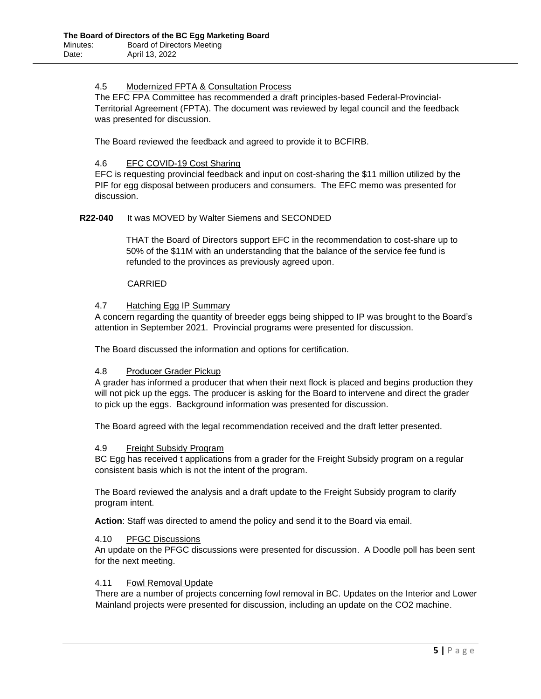## 4.5 Modernized FPTA & Consultation Process

The EFC FPA Committee has recommended a draft principles-based Federal-Provincial-Territorial Agreement (FPTA). The document was reviewed by legal council and the feedback was presented for discussion.

The Board reviewed the feedback and agreed to provide it to BCFIRB.

### 4.6 EFC COVID-19 Cost Sharing

EFC is requesting provincial feedback and input on cost-sharing the \$11 million utilized by the PIF for egg disposal between producers and consumers. The EFC memo was presented for discussion.

## **R22-040** It was MOVED by Walter Siemens and SECONDED

THAT the Board of Directors support EFC in the recommendation to cost-share up to 50% of the \$11M with an understanding that the balance of the service fee fund is refunded to the provinces as previously agreed upon.

### CARRIED

### 4.7 Hatching Egg IP Summary

A concern regarding the quantity of breeder eggs being shipped to IP was brought to the Board's attention in September 2021. Provincial programs were presented for discussion.

The Board discussed the information and options for certification.

### 4.8 Producer Grader Pickup

A grader has informed a producer that when their next flock is placed and begins production they will not pick up the eggs. The producer is asking for the Board to intervene and direct the grader to pick up the eggs. Background information was presented for discussion.

The Board agreed with the legal recommendation received and the draft letter presented.

### 4.9 Freight Subsidy Program

BC Egg has received t applications from a grader for the Freight Subsidy program on a regular consistent basis which is not the intent of the program.

The Board reviewed the analysis and a draft update to the Freight Subsidy program to clarify program intent.

**Action**: Staff was directed to amend the policy and send it to the Board via email.

### 4.10 PFGC Discussions

An update on the PFGC discussions were presented for discussion. A Doodle poll has been sent for the next meeting.

### 4.11 Fowl Removal Update

There are a number of projects concerning fowl removal in BC. Updates on the Interior and Lower Mainland projects were presented for discussion, including an update on the CO2 machine.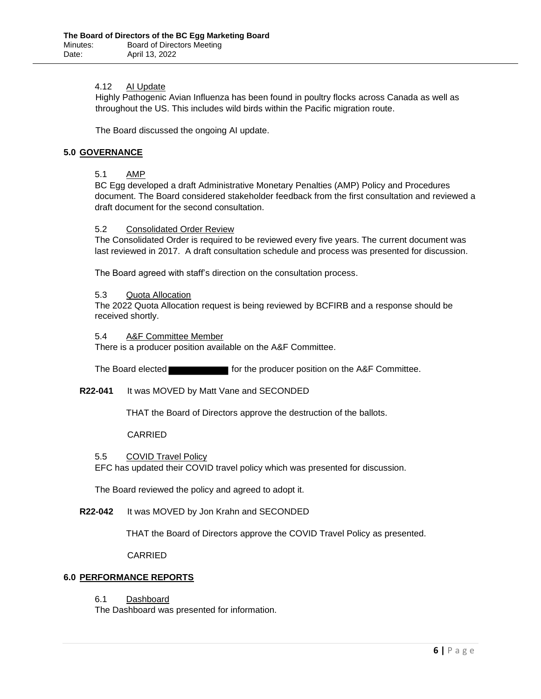### 4.12 AI Update

Highly Pathogenic Avian Influenza has been found in poultry flocks across Canada as well as throughout the US. This includes wild birds within the Pacific migration route.

The Board discussed the ongoing AI update.

### **5.0 GOVERNANCE**

### 5.1 AMP

BC Egg developed a draft Administrative Monetary Penalties (AMP) Policy and Procedures document. The Board considered stakeholder feedback from the first consultation and reviewed a draft document for the second consultation.

### 5.2 Consolidated Order Review

The Consolidated Order is required to be reviewed every five years. The current document was last reviewed in 2017. A draft consultation schedule and process was presented for discussion.

The Board agreed with staff's direction on the consultation process.

### 5.3 Quota Allocation

The 2022 Quota Allocation request is being reviewed by BCFIRB and a response should be received shortly.

#### 5.4 A&F Committee Member

There is a producer position available on the A&F Committee.

The Board elected **for the producer position on the A&F Committee.** 

### **R22-041** It was MOVED by Matt Vane and SECONDED

THAT the Board of Directors approve the destruction of the ballots.

### CARRIED

### 5.5 COVID Travel Policy

EFC has updated their COVID travel policy which was presented for discussion.

The Board reviewed the policy and agreed to adopt it.

### **R22-042** It was MOVED by Jon Krahn and SECONDED

THAT the Board of Directors approve the COVID Travel Policy as presented.

CARRIED

### **6.0 PERFORMANCE REPORTS**

6.1 Dashboard

The Dashboard was presented for information.